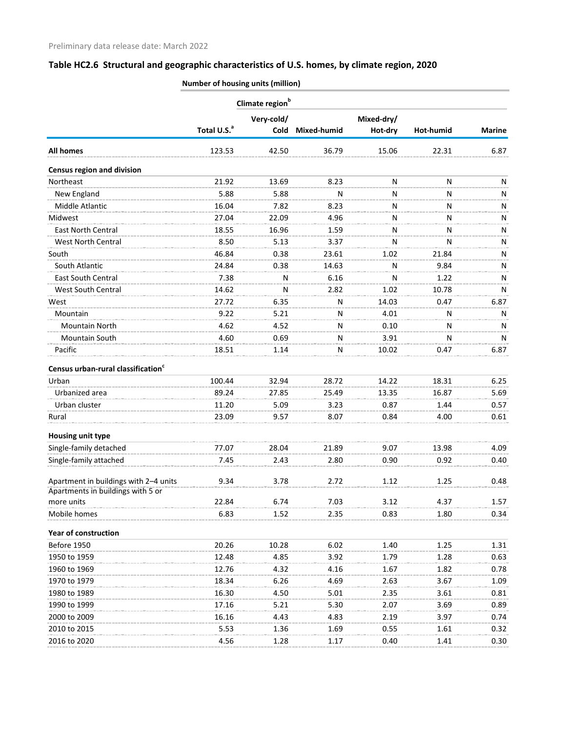|                                                | Number of housing units (million) |                             |             |            |           |               |  |
|------------------------------------------------|-----------------------------------|-----------------------------|-------------|------------|-----------|---------------|--|
|                                                |                                   | Climate region <sup>b</sup> |             |            |           |               |  |
|                                                |                                   | Very-cold/                  |             | Mixed-dry/ |           |               |  |
|                                                | Total U.S. <sup>a</sup>           | <b>Cold</b>                 | Mixed-humid | Hot-dry    | Hot-humid | <b>Marine</b> |  |
| <b>All homes</b>                               | 123.53                            | 42.50                       | 36.79       | 15.06      | 22.31     | 6.87          |  |
| <b>Census region and division</b>              |                                   |                             |             |            |           |               |  |
| Northeast                                      | 21.92                             | 13.69                       | 8.23        | N          | N         | N             |  |
| New England                                    | 5.88                              | 5.88                        | N           | N          | N         | Ν             |  |
| Middle Atlantic                                | 16.04                             | 7.82                        | 8.23        | N          | N         | Ν             |  |
| Midwest                                        | 27.04                             | 22.09                       | 4.96        | N          | N         | Ν             |  |
| <b>East North Central</b>                      | 18.55                             | 16.96                       | 1.59        | N          | N         | N             |  |
| West North Central                             | 8.50                              | 5.13                        | 3.37        | N          | N         | Ν             |  |
| South                                          | 46.84                             | 0.38                        | 23.61       | 1.02       | 21.84     | Ν             |  |
| South Atlantic                                 | 24.84                             | 0.38                        | 14.63       | N          | 9.84      | Ν             |  |
| East South Central                             | 7.38                              | N                           | 6.16        | N          | 1.22      | Ν             |  |
| West South Central                             | 14.62                             | N                           | 2.82        | 1.02       | 10.78     | N             |  |
| West                                           | 27.72                             | 6.35                        | N           | 14.03      | 0.47      | 6.87          |  |
| Mountain                                       | 9.22                              | 5.21                        | N           | 4.01       | N         | N             |  |
| <b>Mountain North</b>                          | 4.62                              | 4.52                        | N           | 0.10       | N         | N             |  |
| Mountain South                                 | 4.60                              | 0.69                        | N           | 3.91       | N         | N             |  |
| Pacific                                        | 18.51                             | 1.14                        | N           | 10.02      | 0.47      | 6.87          |  |
| Census urban-rural classification <sup>c</sup> |                                   |                             |             |            |           |               |  |
| Urban                                          | 100.44                            | 32.94                       | 28.72       | 14.22      | 18.31     | 6.25          |  |
| Urbanized area                                 | 89.24                             | 27.85                       | 25.49       | 13.35      | 16.87     | 5.69          |  |
| Urban cluster                                  | 11.20                             | 5.09                        | 3.23        | 0.87       | 1.44      | 0.57          |  |
| Rural                                          | 23.09                             | 9.57                        | 8.07        | 0.84       | 4.00      | 0.61          |  |
| Housing unit type                              |                                   |                             |             |            |           |               |  |
| Single-family detached                         | 77.07                             | 28.04                       | 21.89       | 9.07       | 13.98     | 4.09          |  |
| Single-family attached                         | 7.45                              | 2.43                        | 2.80        | 0.90       | 0.92      | 0.40          |  |
| Apartment in buildings with 2-4 units          | 9.34                              | 3.78                        | 2.72        | 1.12       | 1.25      | 0.48          |  |
| Apartments in buildings with 5 or              |                                   |                             |             |            |           |               |  |
| more units                                     | 22.84                             | 6.74                        | 7.03        | 3.12       | 4.37      | 1.57          |  |
| Mobile homes                                   | 6.83                              | 1.52                        | 2.35        | 0.83       | 1.80      | 0.34          |  |
| <b>Year of construction</b>                    |                                   |                             |             |            |           |               |  |
| Before 1950                                    | 20.26                             | 10.28                       | 6.02        | 1.40       | 1.25      | 1.31          |  |
| 1950 to 1959                                   | 12.48                             | 4.85                        | 3.92        | 1.79       | 1.28      | 0.63          |  |
| 1960 to 1969                                   | 12.76                             | 4.32                        | 4.16        | 1.67       | 1.82      | 0.78          |  |
| 1970 to 1979                                   | 18.34                             | 6.26                        | 4.69        | 2.63       | 3.67      | 1.09          |  |
| 1980 to 1989                                   | 16.30                             | 4.50                        | 5.01        | 2.35       | 3.61      | 0.81          |  |
| 1990 to 1999                                   | 17.16                             | 5.21                        | 5.30        | 2.07       | 3.69      | 0.89          |  |
| 2000 to 2009                                   | 16.16                             | 4.43                        | 4.83        | 2.19       | 3.97      | 0.74          |  |
| 2010 to 2015                                   | 5.53                              | 1.36                        | 1.69        | 0.55       | 1.61      | 0.32          |  |
| 2016 to 2020                                   | 4.56                              | 1.28                        | 1.17        | 0.40       | 1.41      | 0.30          |  |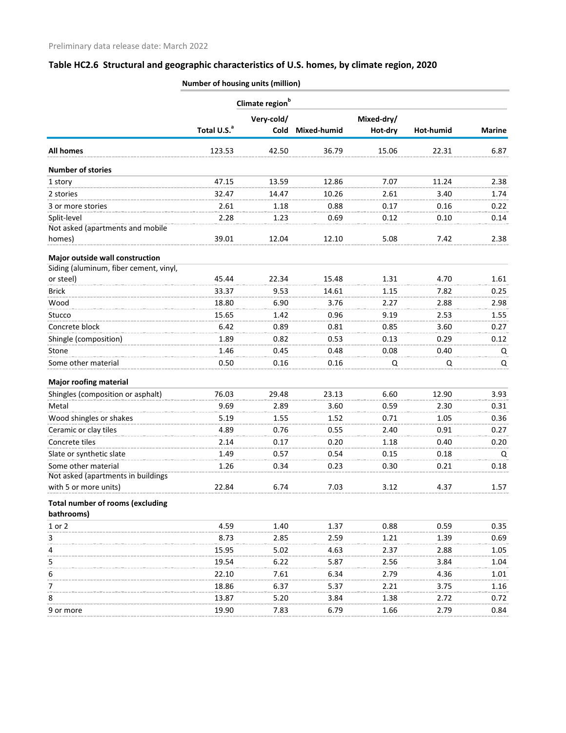|                                         |                         | Climate region <sup>b</sup> |                    |            |           |               |  |
|-----------------------------------------|-------------------------|-----------------------------|--------------------|------------|-----------|---------------|--|
|                                         |                         | Very-cold/                  |                    | Mixed-dry/ |           |               |  |
|                                         | Total U.S. <sup>a</sup> | <b>Cold</b>                 | <b>Mixed-humid</b> | Hot-dry    | Hot-humid | <b>Marine</b> |  |
| <b>All homes</b>                        | 123.53                  | 42.50                       | 36.79              | 15.06      | 22.31     | 6.87          |  |
| <b>Number of stories</b>                |                         |                             |                    |            |           |               |  |
| 1 story                                 | 47.15                   | 13.59                       | 12.86              | 7.07       | 11.24     | 2.38          |  |
| 2 stories                               | 32.47                   | 14.47                       | 10.26              | 2.61       | 3.40      | 1.74          |  |
| 3 or more stories                       | 2.61                    | 1.18                        | 0.88               | 0.17       | 0.16      | 0.22          |  |
| Split-level                             | 2.28                    | 1.23                        | 0.69               | 0.12       | 0.10      | 0.14          |  |
| Not asked (apartments and mobile        |                         |                             |                    |            |           |               |  |
| homes)                                  | 39.01                   | 12.04                       | 12.10              | 5.08       | 7.42      | 2.38          |  |
| Major outside wall construction         |                         |                             |                    |            |           |               |  |
| Siding (aluminum, fiber cement, vinyl,  |                         |                             |                    |            |           |               |  |
| or steel)                               | 45.44                   | 22.34                       | 15.48              | 1.31       | 4.70      | 1.61          |  |
| <b>Brick</b>                            | 33.37                   | 9.53                        | 14.61              | 1.15       | 7.82      | 0.25          |  |
| Wood                                    | 18.80                   | 6.90                        | 3.76               | 2.27       | 2.88      | 2.98          |  |
| Stucco                                  | 15.65                   | 1.42                        | 0.96               | 9.19       | 2.53      | 1.55          |  |
| Concrete block                          | 6.42                    | 0.89                        | 0.81               | 0.85       | 3.60      | 0.27          |  |
| Shingle (composition)                   | 1.89                    | 0.82                        | 0.53               | 0.13       | 0.29      | 0.12          |  |
| Stone                                   | 1.46                    | 0.45                        | 0.48               | 0.08       | 0.40      | Q             |  |
| Some other material                     | 0.50                    | 0.16                        | 0.16               | Q          | Q         | Q             |  |
| <b>Major roofing material</b>           |                         |                             |                    |            |           |               |  |
| Shingles (composition or asphalt)       | 76.03                   | 29.48                       | 23.13              | 6.60       | 12.90     | 3.93          |  |
| Metal                                   | 9.69                    | 2.89                        | 3.60               | 0.59       | 2.30      | 0.31          |  |
| Wood shingles or shakes                 | 5.19                    | 1.55                        | 1.52               | 0.71       | 1.05      | 0.36          |  |
| Ceramic or clay tiles                   | 4.89                    | 0.76                        | 0.55               | 2.40       | 0.91      | 0.27          |  |
| Concrete tiles                          | 2.14                    | 0.17                        | 0.20               | 1.18       | 0.40      | 0.20          |  |
| Slate or synthetic slate                | 1.49                    | 0.57                        | 0.54               | 0.15       | 0.18      | Q             |  |
| Some other material                     | 1.26                    | 0.34                        | 0.23               | 0.30       | 0.21      | 0.18          |  |
| Not asked (apartments in buildings      |                         |                             |                    |            |           |               |  |
| with 5 or more units)                   | 22.84                   | 6.74                        | 7.03               | 3.12       | 4.37      | 1.57          |  |
| <b>Total number of rooms (excluding</b> |                         |                             |                    |            |           |               |  |
| bathrooms)                              |                         |                             |                    |            |           |               |  |
| 1 or 2                                  | 4.59                    | 1.40                        | 1.37               | 0.88       | 0.59      | 0.35          |  |
| 3                                       | 8.73                    | 2.85                        | 2.59               | 1.21       | 1.39      | 0.69          |  |
| 4                                       | 15.95                   | 5.02                        | 4.63               | 2.37       | 2.88      | 1.05          |  |
| 5                                       | 19.54                   | 6.22                        | 5.87               | 2.56       | 3.84      | 1.04          |  |
| 6                                       | 22.10                   | 7.61                        | 6.34               | 2.79       | 4.36      | 1.01          |  |
| 7                                       | 18.86                   | 6.37                        | 5.37               | 2.21       | 3.75      | 1.16          |  |
| 8                                       | 13.87                   | 5.20                        | 3.84               | 1.38       | 2.72      | 0.72          |  |
| 9 or more                               | 19.90                   | 7.83                        | 6.79               | 1.66       | 2.79      | 0.84          |  |
|                                         |                         |                             |                    |            |           |               |  |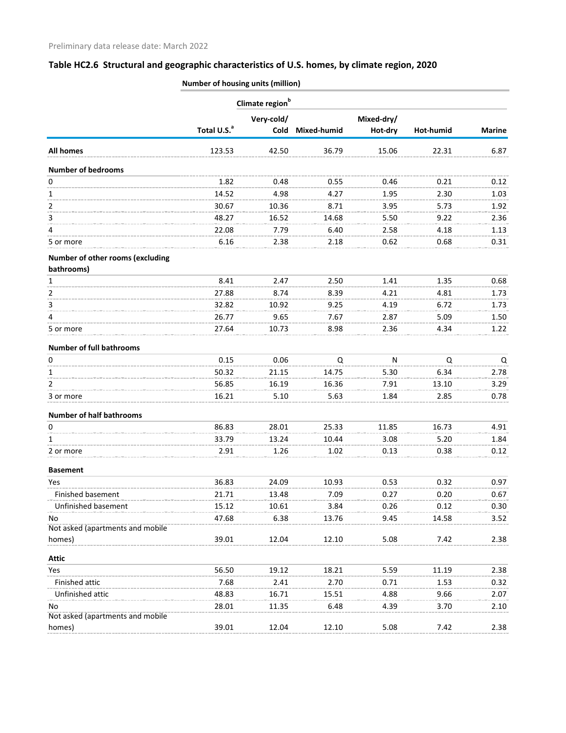|                                                |                         | Climate region <sup>b</sup> |             |            |           |               |  |
|------------------------------------------------|-------------------------|-----------------------------|-------------|------------|-----------|---------------|--|
|                                                |                         | Very-cold/                  |             | Mixed-dry/ |           |               |  |
|                                                | Total U.S. <sup>a</sup> | <b>Cold</b>                 | Mixed-humid | Hot-dry    | Hot-humid | <b>Marine</b> |  |
| <b>All homes</b>                               | 123.53                  | 42.50                       | 36.79       | 15.06      | 22.31     | 6.87          |  |
| <b>Number of bedrooms</b>                      |                         |                             |             |            |           |               |  |
| 0                                              | 1.82                    | 0.48                        | 0.55        | 0.46       | 0.21      | 0.12          |  |
| 1                                              | 14.52                   | 4.98                        | 4.27        | 1.95       | 2.30      | 1.03          |  |
| 2                                              | 30.67                   | 10.36                       | 8.71        | 3.95       | 5.73      | 1.92          |  |
| 3                                              | 48.27                   | 16.52                       | 14.68       | 5.50       | 9.22      | 2.36          |  |
| 4                                              | 22.08                   | 7.79                        | 6.40        | 2.58       | 4.18      | 1.13          |  |
| 5 or more                                      | 6.16                    | 2.38                        | 2.18        | 0.62       | 0.68      | 0.31          |  |
| Number of other rooms (excluding<br>bathrooms) |                         |                             |             |            |           |               |  |
| 1                                              | 8.41                    | 2.47                        | 2.50        | 1.41       | 1.35      | 0.68          |  |
| 2                                              | 27.88                   | 8.74                        | 8.39        | 4.21       | 4.81      | 1.73          |  |
| 3                                              | 32.82                   | 10.92                       | 9.25        | 4.19       | 6.72      | 1.73          |  |
| 4                                              | 26.77                   | 9.65                        | 7.67        | 2.87       | 5.09      | 1.50          |  |
| 5 or more                                      | 27.64                   | 10.73                       | 8.98        | 2.36       | 4.34      | 1.22          |  |
| <b>Number of full bathrooms</b>                |                         |                             |             |            |           |               |  |
| 0                                              | 0.15                    | 0.06                        | Q           | N          | Q         | Q             |  |
| 1                                              | 50.32                   | 21.15                       | 14.75       | 5.30       | 6.34      | 2.78          |  |
| $\overline{2}$                                 | 56.85                   | 16.19                       | 16.36       | 7.91       | 13.10     | 3.29          |  |
| 3 or more                                      | 16.21                   | 5.10                        | 5.63        | 1.84       | 2.85      | 0.78          |  |
| <b>Number of half bathrooms</b>                |                         |                             |             |            |           |               |  |
| 0                                              | 86.83                   | 28.01                       | 25.33       | 11.85      | 16.73     | 4.91          |  |
| 1                                              | 33.79                   | 13.24                       | 10.44       | 3.08       | 5.20      | 1.84          |  |
| 2 or more                                      | 2.91                    | 1.26                        | 1.02        | 0.13       | 0.38      | 0.12          |  |
| <b>Basement</b>                                |                         |                             |             |            |           |               |  |
| Yes                                            | 36.83                   | 24.09                       | 10.93       | 0.53       | 0.32      | 0.97          |  |
| Finished basement                              | 21.71                   | 13.48                       | 7.09        | 0.27       | 0.20      | 0.67          |  |
| Unfinished basement                            | 15.12                   | 10.61                       | 3.84        | 0.26       | 0.12      | 0.30          |  |
| No                                             | 47.68                   | 6.38                        | 13.76       | 9.45       | 14.58     | 3.52          |  |
| Not asked (apartments and mobile               |                         |                             |             |            |           |               |  |
| homes)                                         | 39.01                   | 12.04                       | 12.10       | 5.08       | 7.42      | 2.38          |  |
| <b>Attic</b>                                   |                         |                             |             |            |           |               |  |
| Yes                                            | 56.50                   | 19.12                       | 18.21       | 5.59       | 11.19     | 2.38          |  |
| Finished attic                                 | 7.68                    | 2.41                        | 2.70        | 0.71       | 1.53      | 0.32          |  |
| Unfinished attic                               | 48.83                   | 16.71                       | 15.51       | 4.88       | 9.66      | 2.07          |  |
| No                                             | 28.01                   | 11.35                       | 6.48        | 4.39       | 3.70      | 2.10          |  |
| Not asked (apartments and mobile               |                         |                             |             |            |           |               |  |
| homes)                                         | 39.01                   | 12.04                       | 12.10       | 5.08       | 7.42      | 2.38          |  |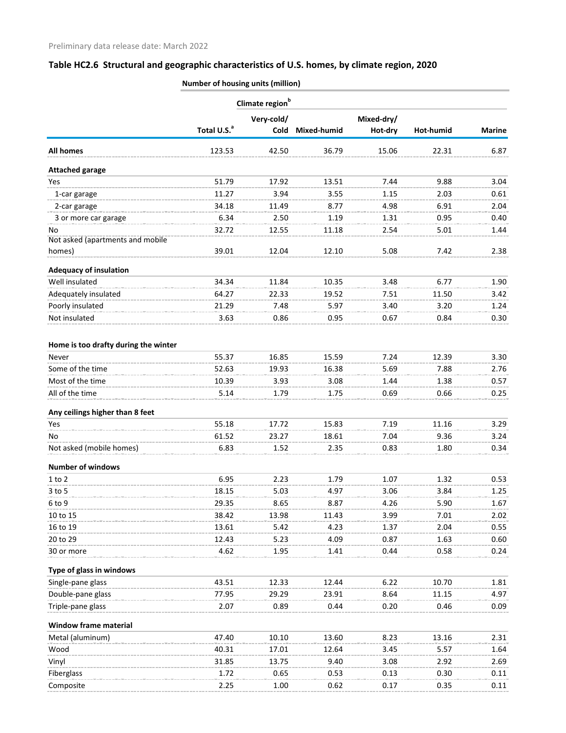|                                      |                         | Climate region <sup>b</sup> |             |            |           |               |
|--------------------------------------|-------------------------|-----------------------------|-------------|------------|-----------|---------------|
|                                      |                         | Very-cold/                  |             | Mixed-dry/ |           |               |
|                                      | Total U.S. <sup>a</sup> | Cold                        | Mixed-humid | Hot-dry    | Hot-humid | <b>Marine</b> |
| <b>All homes</b>                     | 123.53                  | 42.50                       | 36.79       | 15.06      | 22.31     | 6.87          |
| <b>Attached garage</b>               |                         |                             |             |            |           |               |
| Yes                                  | 51.79                   | 17.92                       | 13.51       | 7.44       | 9.88      | 3.04          |
| 1-car garage                         | 11.27                   | 3.94                        | 3.55        | 1.15       | 2.03      | 0.61          |
| 2-car garage                         | 34.18                   | 11.49                       | 8.77        | 4.98       | 6.91      | 2.04          |
| 3 or more car garage                 | 6.34                    | 2.50                        | 1.19        | 1.31       | 0.95      | 0.40          |
| No                                   | 32.72                   | 12.55                       | 11.18       | 2.54       | 5.01      | 1.44          |
| Not asked (apartments and mobile     |                         |                             |             |            |           |               |
| homes)                               | 39.01                   | 12.04                       | 12.10       | 5.08       | 7.42      | 2.38          |
| <b>Adequacy of insulation</b>        |                         |                             |             |            |           |               |
| Well insulated                       | 34.34                   | 11.84                       | 10.35       | 3.48       | 6.77      | 1.90          |
| Adequately insulated                 | 64.27                   | 22.33                       | 19.52       | 7.51       | 11.50     | 3.42          |
| Poorly insulated                     | 21.29                   | 7.48                        | 5.97        | 3.40       | 3.20      | 1.24          |
| Not insulated                        | 3.63                    | 0.86                        | 0.95        | 0.67       | 0.84      | 0.30          |
| Home is too drafty during the winter |                         |                             |             |            |           |               |
| Never                                | 55.37                   | 16.85                       | 15.59       | 7.24       | 12.39     | 3.30          |
| Some of the time                     | 52.63                   | 19.93                       | 16.38       | 5.69       | 7.88      | 2.76          |
| Most of the time                     | 10.39                   | 3.93                        | 3.08        | 1.44       | 1.38      | 0.57          |
| All of the time                      | 5.14                    | 1.79                        | 1.75        | 0.69       | 0.66      | 0.25          |
| Any ceilings higher than 8 feet      |                         |                             |             |            |           |               |
| Yes                                  | 55.18                   | 17.72                       | 15.83       | 7.19       | 11.16     | 3.29          |
| No                                   | 61.52                   | 23.27                       | 18.61       | 7.04       | 9.36      | 3.24          |
| Not asked (mobile homes)             | 6.83                    | 1.52                        | 2.35        | 0.83       | 1.80      | 0.34          |
| <b>Number of windows</b>             |                         |                             |             |            |           |               |
| $1$ to $2$                           | 6.95                    | 2.23                        | 1.79        | 1.07       | 1.32      | 0.53          |
| $3$ to $5$                           | 18.15                   | 5.03                        | 4.97        | 3.06       | 3.84      | 1.25          |
| 6 to 9                               | 29.35                   | 8.65                        | 8.87        | 4.26       | 5.90      | 1.67          |
| 10 to 15                             | 38.42                   | 13.98                       | 11.43       | 3.99       | 7.01      | 2.02          |
| 16 to 19                             | 13.61                   | 5.42                        | 4.23        | 1.37       | 2.04      | 0.55          |
| 20 to 29                             | 12.43                   | 5.23                        | 4.09        | 0.87       | 1.63      | 0.60          |
| 30 or more                           | 4.62                    | 1.95                        | 1.41        | 0.44       | 0.58      | 0.24          |
| Type of glass in windows             |                         |                             |             |            |           |               |
| Single-pane glass                    | 43.51                   | 12.33                       | 12.44       | 6.22       | 10.70     | 1.81          |
| Double-pane glass                    | 77.95                   | 29.29                       | 23.91       | 8.64       | 11.15     | 4.97          |
| Triple-pane glass                    | 2.07                    | 0.89                        | 0.44        | 0.20       | 0.46      | 0.09          |
| Window frame material                |                         |                             |             |            |           |               |
| Metal (aluminum)                     | 47.40                   | 10.10                       | 13.60       | 8.23       | 13.16     | 2.31          |
| Wood                                 | 40.31                   | 17.01                       | 12.64       | 3.45       | 5.57      | 1.64          |
| Vinyl                                | 31.85                   | 13.75                       | 9.40        | 3.08       | 2.92      | 2.69          |
| Fiberglass                           | 1.72                    | 0.65                        | 0.53        | 0.13       | 0.30      | 0.11          |
| Composite                            | 2.25                    | 1.00                        | 0.62        | 0.17       | 0.35      | 0.11          |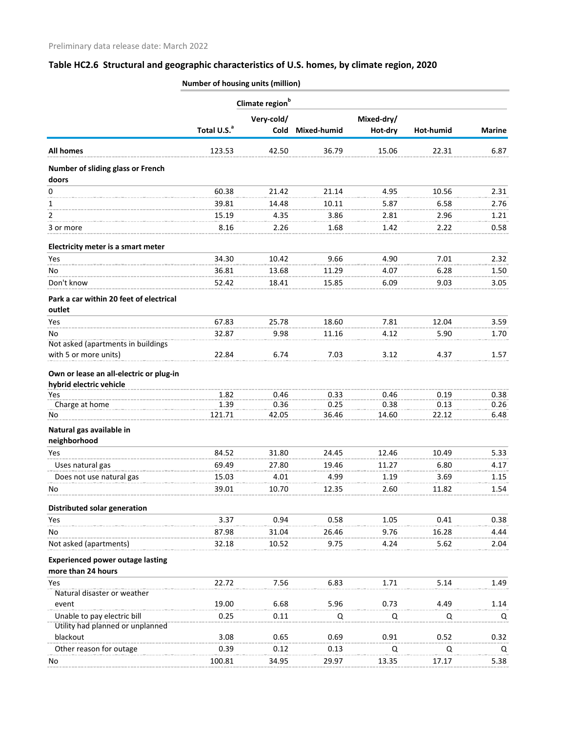|                                                               | Climate region <sup>b</sup> |            |             |              |           |               |  |
|---------------------------------------------------------------|-----------------------------|------------|-------------|--------------|-----------|---------------|--|
|                                                               |                             | Very-cold/ |             | Mixed-dry/   |           |               |  |
|                                                               | Total U.S. <sup>a</sup>     | Cold       | Mixed-humid | Hot-dry      | Hot-humid | <b>Marine</b> |  |
| <b>All homes</b>                                              | 123.53                      | 42.50      | 36.79       | 15.06        | 22.31     | 6.87          |  |
| Number of sliding glass or French<br>doors                    |                             |            |             |              |           |               |  |
| 0                                                             | 60.38                       | 21.42      | 21.14       | 4.95         | 10.56     | 2.31          |  |
| 1                                                             | 39.81                       | 14.48      | 10.11       | 5.87         | 6.58      | 2.76          |  |
| 2                                                             | 15.19                       | 4.35       | 3.86        | 2.81         | 2.96      | 1.21          |  |
| 3 or more                                                     | 8.16                        | 2.26       | 1.68        | 1.42         | 2.22      | 0.58          |  |
| Electricity meter is a smart meter                            |                             |            |             |              |           |               |  |
| Yes                                                           | 34.30                       | 10.42      | 9.66        | 4.90         | 7.01      | 2.32          |  |
| No                                                            | 36.81                       | 13.68      | 11.29       | 4.07         | 6.28      | 1.50          |  |
| Don't know                                                    | 52.42                       | 18.41      | 15.85       | 6.09         | 9.03      | 3.05          |  |
| Park a car within 20 feet of electrical<br>outlet             |                             |            |             |              |           |               |  |
| Yes                                                           | 67.83                       | 25.78      | 18.60       | 7.81         | 12.04     | 3.59          |  |
| No                                                            | 32.87                       | 9.98       | 11.16       | 4.12         | 5.90      | 1.70          |  |
| Not asked (apartments in buildings                            |                             |            |             |              |           |               |  |
| with 5 or more units)                                         | 22.84                       | 6.74       | 7.03        | 3.12         | 4.37      | 1.57          |  |
| Own or lease an all-electric or plug-in                       |                             |            |             |              |           |               |  |
| hybrid electric vehicle                                       |                             |            |             |              |           |               |  |
| Yes                                                           | 1.82                        | 0.46       | 0.33        | 0.46         | 0.19      | 0.38          |  |
| Charge at home                                                | 1.39                        | 0.36       | 0.25        | 0.38         | 0.13      | 0.26          |  |
| No                                                            | 121.71                      | 42.05      | 36.46       | 14.60        | 22.12     | 6.48          |  |
| Natural gas available in<br>neighborhood                      |                             |            |             |              |           |               |  |
| Yes                                                           | 84.52                       | 31.80      | 24.45       | 12.46        | 10.49     | 5.33          |  |
| Uses natural gas                                              | 69.49                       | 27.80      | 19.46       | 11.27        | 6.80      | 4.17          |  |
| Does not use natural gas                                      | 15.03                       | 4.01       | 4.99        | 1.19         | 3.69      | 1.15          |  |
| No                                                            | 39.01                       | 10.70      | 12.35       | 2.60         | 11.82     | 1.54          |  |
|                                                               |                             |            |             |              |           |               |  |
| Distributed solar generation                                  |                             |            |             |              |           |               |  |
| Yes                                                           | 3.37                        | 0.94       | 0.58        | 1.05         | 0.41      | 0.38          |  |
| No<br>Not asked (apartments)                                  | 87.98<br>32.18              | 31.04      | 26.46       | 9.76<br>4.24 | 16.28     | 4.44          |  |
|                                                               |                             | 10.52      | 9.75        |              | 5.62      | 2.04          |  |
| <b>Experienced power outage lasting</b><br>more than 24 hours |                             |            |             |              |           |               |  |
| Yes                                                           | 22.72                       | 7.56       | 6.83        | 1.71         | 5.14      | 1.49          |  |
| Natural disaster or weather                                   |                             |            |             |              |           |               |  |
| event                                                         | 19.00                       | 6.68       | 5.96        | 0.73         | 4.49      | 1.14          |  |
| Unable to pay electric bill                                   | 0.25                        | 0.11       | Q           | Q            | Q         | Q             |  |
| Utility had planned or unplanned                              |                             |            |             |              |           |               |  |
| blackout                                                      | 3.08                        | 0.65       | 0.69        | 0.91         | 0.52      | 0.32          |  |
| Other reason for outage                                       | 0.39                        | 0.12       | 0.13        | Q            | Q         | Q             |  |
| No                                                            | 100.81                      | 34.95      | 29.97       | 13.35        | 17.17     | 5.38          |  |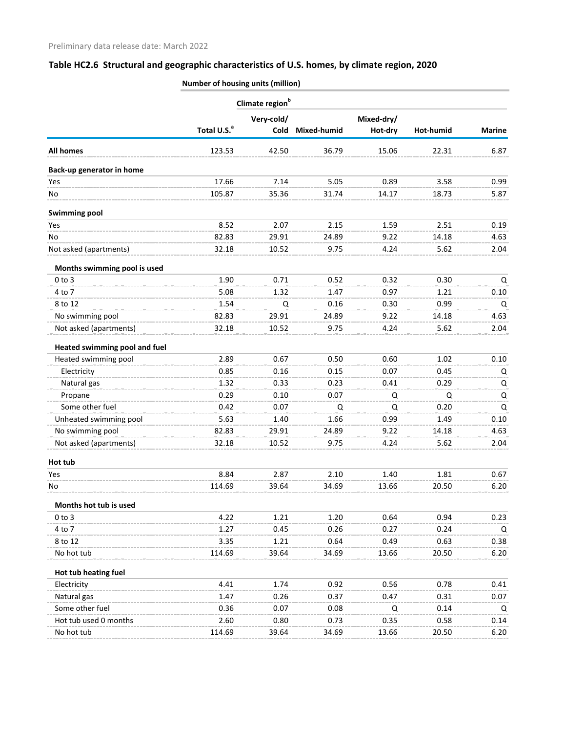|                                      |                         | Climate region <sup>b</sup> |             |            |           |               |  |  |
|--------------------------------------|-------------------------|-----------------------------|-------------|------------|-----------|---------------|--|--|
|                                      |                         | Very-cold/                  |             | Mixed-dry/ |           |               |  |  |
|                                      | Total U.S. <sup>a</sup> | Cold                        | Mixed-humid | Hot-dry    | Hot-humid | <b>Marine</b> |  |  |
| <b>All homes</b>                     | 123.53                  | 42.50                       | 36.79       | 15.06      | 22.31     | 6.87          |  |  |
| Back-up generator in home            |                         |                             |             |            |           |               |  |  |
| Yes                                  | 17.66                   | 7.14                        | 5.05        | 0.89       | 3.58      | 0.99          |  |  |
| No                                   | 105.87                  | 35.36                       | 31.74       | 14.17      | 18.73     | 5.87          |  |  |
| <b>Swimming pool</b>                 |                         |                             |             |            |           |               |  |  |
| Yes                                  | 8.52                    | 2.07                        | 2.15        | 1.59       | 2.51      | 0.19          |  |  |
| No                                   | 82.83                   | 29.91                       | 24.89       | 9.22       | 14.18     | 4.63          |  |  |
| Not asked (apartments)               | 32.18                   | 10.52                       | 9.75        | 4.24       | 5.62      | 2.04          |  |  |
| Months swimming pool is used         |                         |                             |             |            |           |               |  |  |
| $0$ to $3$                           | 1.90                    | 0.71                        | 0.52        | 0.32       | 0.30      | Q             |  |  |
| 4 to 7                               | 5.08                    | 1.32                        | 1.47        | 0.97       | 1.21      | 0.10          |  |  |
| 8 to 12                              | 1.54                    | Q                           | 0.16        | 0.30       | 0.99      | Q             |  |  |
| No swimming pool                     | 82.83                   | 29.91                       | 24.89       | 9.22       | 14.18     | 4.63          |  |  |
| Not asked (apartments)               | 32.18                   | 10.52                       | 9.75        | 4.24       | 5.62      | 2.04          |  |  |
| <b>Heated swimming pool and fuel</b> |                         |                             |             |            |           |               |  |  |
| Heated swimming pool                 | 2.89                    | 0.67                        | 0.50        | 0.60       | 1.02      | 0.10          |  |  |
| Electricity                          | 0.85                    | 0.16                        | 0.15        | 0.07       | 0.45      | Q             |  |  |
| Natural gas                          | 1.32                    | 0.33                        | 0.23        | 0.41       | 0.29      | Q             |  |  |
| Propane                              | 0.29                    | 0.10                        | 0.07        | Q          | Q         | Q             |  |  |
| Some other fuel                      | 0.42                    | 0.07                        | Q           | Q          | 0.20      | Q             |  |  |
| Unheated swimming pool               | 5.63                    | 1.40                        | 1.66        | 0.99       | 1.49      | 0.10          |  |  |
| No swimming pool                     | 82.83                   | 29.91                       | 24.89       | 9.22       | 14.18     | 4.63          |  |  |
| Not asked (apartments)               | 32.18                   | 10.52                       | 9.75        | 4.24       | 5.62      | 2.04          |  |  |
| Hot tub                              |                         |                             |             |            |           |               |  |  |
| Yes                                  | 8.84                    | 2.87                        | 2.10        | 1.40       | 1.81      | 0.67          |  |  |
| No                                   | 114.69                  | 39.64                       | 34.69       | 13.66      | 20.50     | 6.20          |  |  |
| Months hot tub is used               |                         |                             |             |            |           |               |  |  |
| $0$ to $3$                           | 4.22                    | 1.21                        | 1.20        | 0.64       | 0.94      | 0.23          |  |  |
| 4 to 7                               | 1.27                    | 0.45                        | 0.26        | 0.27       | 0.24      | Q             |  |  |
| 8 to 12                              | 3.35                    | 1.21                        | 0.64        | 0.49       | 0.63      | 0.38          |  |  |
| No hot tub                           | 114.69                  | 39.64                       | 34.69       | 13.66      | 20.50     | 6.20          |  |  |
| Hot tub heating fuel                 |                         |                             |             |            |           |               |  |  |
| Electricity                          | 4.41                    | 1.74                        | 0.92        | 0.56       | 0.78      | 0.41          |  |  |
| Natural gas                          | 1.47                    | 0.26                        | 0.37        | 0.47       | 0.31      | 0.07          |  |  |
| Some other fuel                      | 0.36                    | 0.07                        | 0.08        | Q          | 0.14      | Q             |  |  |
| Hot tub used 0 months                | 2.60                    | 0.80                        | 0.73        | 0.35       | 0.58      | 0.14          |  |  |
| No hot tub                           | 114.69                  | 39.64                       | 34.69       | 13.66      | 20.50     | 6.20          |  |  |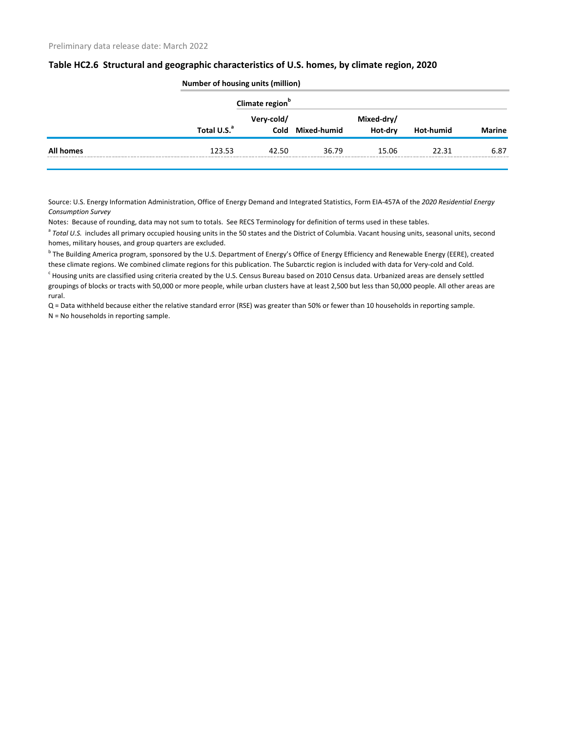|                  |                         | <b>Number of housing units (million)</b> |                  |                       |                  |               |  |  |  |
|------------------|-------------------------|------------------------------------------|------------------|-----------------------|------------------|---------------|--|--|--|
|                  |                         | Climate region <sup>b</sup>              |                  |                       |                  |               |  |  |  |
|                  | Total U.S. <sup>a</sup> | Very-cold/                               | Cold Mixed-humid | Mixed-dry/<br>Hot-dry | <b>Hot-humid</b> | <b>Marine</b> |  |  |  |
| <b>All homes</b> | 123.53                  | 42.50                                    | 36.79            | 15.06                 | 22.31            | 6.87          |  |  |  |
|                  |                         |                                          |                  |                       |                  |               |  |  |  |

Source: U.S. Energy Information Administration, Office of Energy Demand and Integrated Statistics, Form EIA-457A of the *2020 Residential Energy Consumption Survey*

Notes: Because of rounding, data may not sum to totals. See RECS Terminology for definition of terms used in these tables.

<sup>a</sup> Total U.S. includes all primary occupied housing units in the 50 states and the District of Columbia. Vacant housing units, seasonal units, second homes, military houses, and group quarters are excluded.

<sup>b</sup> The Building America program, sponsored by the U.S. Department of Energy's Office of Energy Efficiency and Renewable Energy (EERE), created these climate regions. We combined climate regions for this publication. The Subarctic region is included with data for Very-cold and Cold.

 $^c$  Housing units are classified using criteria created by the U.S. Census Bureau based on 2010 Census data. Urbanized areas are densely settled groupings of blocks or tracts with 50,000 or more people, while urban clusters have at least 2,500 but less than 50,000 people. All other areas are rural.

Q = Data withheld because either the relative standard error (RSE) was greater than 50% or fewer than 10 households in reporting sample. N = No households in reporting sample.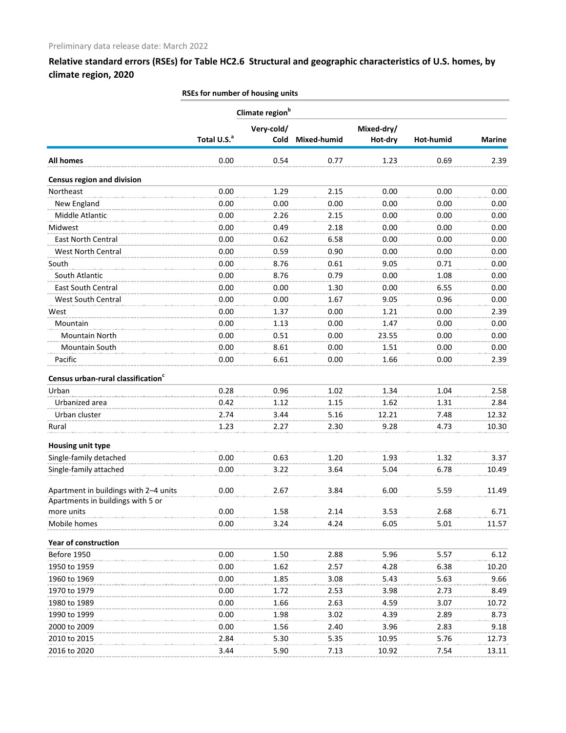|                                                                            |                         | Climate region <sup>b</sup> |             |                       |           |               |
|----------------------------------------------------------------------------|-------------------------|-----------------------------|-------------|-----------------------|-----------|---------------|
|                                                                            | Total U.S. <sup>a</sup> | Very-cold/<br>Cold          | Mixed-humid | Mixed-dry/<br>Hot-dry | Hot-humid | <b>Marine</b> |
| <b>All homes</b>                                                           | 0.00                    | 0.54                        | 0.77        | 1.23                  | 0.69      | 2.39          |
| <b>Census region and division</b>                                          |                         |                             |             |                       |           |               |
| Northeast                                                                  | 0.00                    | 1.29                        | 2.15        | 0.00                  | 0.00      | 0.00          |
| New England                                                                | 0.00                    | 0.00                        | 0.00        | 0.00                  | 0.00      | 0.00          |
| Middle Atlantic                                                            | 0.00                    | 2.26                        | 2.15        | 0.00                  | 0.00      | 0.00          |
| Midwest                                                                    | 0.00                    | 0.49                        | 2.18        | 0.00                  | 0.00      | 0.00          |
| East North Central                                                         | 0.00                    | 0.62                        | 6.58        | 0.00                  | 0.00      | 0.00          |
| West North Central                                                         | 0.00                    | 0.59                        | 0.90        | 0.00                  | 0.00      | 0.00          |
| South                                                                      | 0.00                    | 8.76                        | 0.61        | 9.05                  | 0.71      | 0.00          |
| South Atlantic                                                             | 0.00                    | 8.76                        | 0.79        | 0.00                  | 1.08      | 0.00          |
| East South Central                                                         | 0.00                    | 0.00                        | 1.30        | 0.00                  | 6.55      | 0.00          |
| West South Central                                                         | 0.00                    | 0.00                        | 1.67        | 9.05                  | 0.96      | 0.00          |
| West                                                                       | 0.00                    | 1.37                        | 0.00        | 1.21                  | 0.00      | 2.39          |
| Mountain                                                                   | 0.00                    | 1.13                        | 0.00        | 1.47                  | 0.00      | 0.00          |
| Mountain North                                                             | 0.00                    | 0.51                        | 0.00        | 23.55                 | 0.00      | 0.00          |
| Mountain South                                                             | 0.00                    | 8.61                        | 0.00        | 1.51                  | 0.00      | 0.00          |
| Pacific                                                                    | 0.00                    | 6.61                        | 0.00        | 1.66                  | 0.00      | 2.39          |
| Census urban-rural classification <sup>c</sup>                             |                         |                             |             |                       |           |               |
| Urban                                                                      | 0.28                    | 0.96                        | 1.02        | 1.34                  | 1.04      | 2.58          |
| Urbanized area                                                             | 0.42                    | 1.12                        | 1.15        | 1.62                  | 1.31      | 2.84          |
| Urban cluster                                                              | 2.74                    | 3.44                        | 5.16        | 12.21                 | 7.48      | 12.32         |
| Rural                                                                      | 1.23                    | 2.27                        | 2.30        | 9.28                  | 4.73      | 10.30         |
| Housing unit type                                                          |                         |                             |             |                       |           |               |
| Single-family detached                                                     | 0.00                    | 0.63                        | 1.20        | 1.93                  | 1.32      | 3.37          |
| Single-family attached                                                     | 0.00                    | 3.22                        | 3.64        | 5.04                  | 6.78      | 10.49         |
| Apartment in buildings with 2-4 units<br>Apartments in buildings with 5 or | 0.00                    | 2.67                        | 3.84        | 6.00                  | 5.59      | 11.49         |
| more units                                                                 | 0.00                    | 1.58                        | 2.14        | 3.53                  | 2.68      | 6.71          |
| Mobile homes                                                               | 0.00                    | 3.24                        | 4.24        | 6.05                  | 5.01      | 11.57         |
| <b>Year of construction</b>                                                |                         |                             |             |                       |           |               |
| Before 1950                                                                | 0.00                    | 1.50                        | 2.88        | 5.96                  | 5.57      | 6.12          |
| 1950 to 1959                                                               | 0.00                    | 1.62                        | 2.57        | 4.28                  | 6.38      | 10.20         |
| 1960 to 1969                                                               | 0.00                    | 1.85                        | 3.08        | 5.43                  | 5.63      | 9.66          |
| 1970 to 1979                                                               | 0.00                    | 1.72                        | 2.53        | 3.98                  | 2.73      | 8.49          |
| 1980 to 1989                                                               | 0.00                    | 1.66                        | 2.63        | 4.59                  | 3.07      | 10.72         |
| 1990 to 1999                                                               | 0.00                    | 1.98                        | 3.02        | 4.39                  | 2.89      | 8.73          |
| 2000 to 2009                                                               | 0.00                    | 1.56                        | 2.40        | 3.96                  | 2.83      | 9.18          |
| 2010 to 2015                                                               | 2.84                    | 5.30                        | 5.35        | 10.95                 | 5.76      | 12.73         |
| 2016 to 2020                                                               | 3.44                    | 5.90                        | 7.13        | 10.92                 | 7.54      | 13.11         |

#### **RSEs for number of housing units**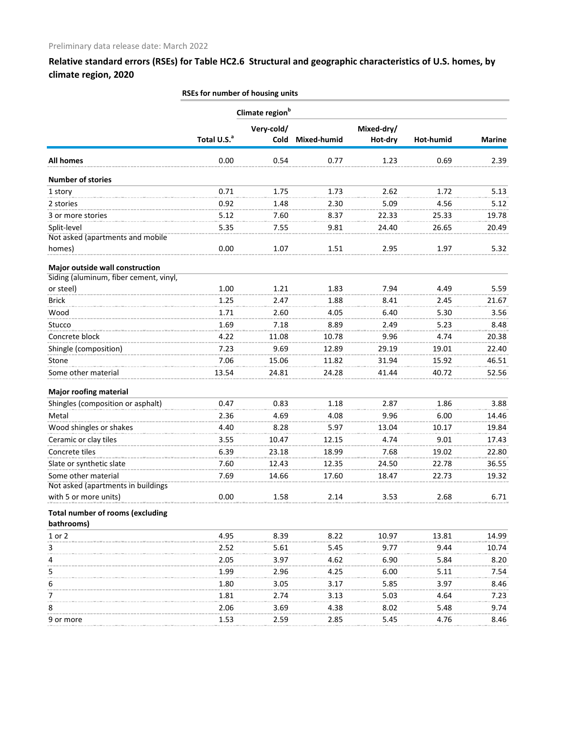|                                         | NSES TOT HUITIDEL OF HOUSING UNITS |                             |             |                       |           |               |
|-----------------------------------------|------------------------------------|-----------------------------|-------------|-----------------------|-----------|---------------|
|                                         |                                    | Climate region <sup>b</sup> |             |                       |           |               |
|                                         | Total U.S. <sup>a</sup>            | Very-cold/<br>Cold          | Mixed-humid | Mixed-dry/<br>Hot-dry | Hot-humid | <b>Marine</b> |
| <b>All homes</b>                        | 0.00                               | 0.54                        | 0.77        | 1.23                  | 0.69      | 2.39          |
| <b>Number of stories</b>                |                                    |                             |             |                       |           |               |
| 1 story                                 | 0.71                               | 1.75                        | 1.73        | 2.62                  | 1.72      | 5.13          |
| 2 stories                               | 0.92                               | 1.48                        | 2.30        | 5.09                  | 4.56      | 5.12          |
| 3 or more stories                       | 5.12                               | 7.60                        | 8.37        | 22.33                 | 25.33     | 19.78         |
| Split-level                             | 5.35                               | 7.55                        | 9.81        | 24.40                 | 26.65     | 20.49         |
| Not asked (apartments and mobile        |                                    |                             |             |                       |           |               |
| homes)                                  | 0.00                               | 1.07                        | 1.51        | 2.95                  | 1.97      | 5.32          |
| Major outside wall construction         |                                    |                             |             |                       |           |               |
| Siding (aluminum, fiber cement, vinyl,  |                                    |                             |             |                       |           |               |
| or steel)                               | 1.00                               | 1.21                        | 1.83        | 7.94                  | 4.49      | 5.59          |
| <b>Brick</b>                            | 1.25                               | 2.47                        | 1.88        | 8.41                  | 2.45      | 21.67         |
| Wood                                    | 1.71                               | 2.60                        | 4.05        | 6.40                  | 5.30      | 3.56          |
| Stucco                                  | 1.69                               | 7.18                        | 8.89        | 2.49                  | 5.23      | 8.48          |
| Concrete block                          | 4.22                               | 11.08                       | 10.78       | 9.96                  | 4.74      | 20.38         |
| Shingle (composition)                   | 7.23                               | 9.69                        | 12.89       | 29.19                 | 19.01     | 22.40         |
| Stone                                   | 7.06                               | 15.06                       | 11.82       | 31.94                 | 15.92     | 46.51         |
| Some other material                     | 13.54                              | 24.81                       | 24.28       | 41.44                 | 40.72     | 52.56         |
| <b>Major roofing material</b>           |                                    |                             |             |                       |           |               |
| Shingles (composition or asphalt)       | 0.47                               | 0.83                        | 1.18        | 2.87                  | 1.86      | 3.88          |
| Metal                                   | 2.36                               | 4.69                        | 4.08        | 9.96                  | 6.00      | 14.46         |
| Wood shingles or shakes                 | 4.40                               | 8.28                        | 5.97        | 13.04                 | 10.17     | 19.84         |
| Ceramic or clay tiles                   | 3.55                               | 10.47                       | 12.15       | 4.74                  | 9.01      | 17.43         |
| Concrete tiles                          | 6.39                               | 23.18                       | 18.99       | 7.68                  | 19.02     | 22.80         |
| Slate or synthetic slate                | 7.60                               | 12.43                       | 12.35       | 24.50                 | 22.78     | 36.55         |
| Some other material                     | 7.69                               | 14.66                       | 17.60       | 18.47                 | 22.73     | 19.32         |
| Not asked (apartments in buildings      |                                    |                             |             |                       |           |               |
| with 5 or more units)                   | 0.00                               | 1.58                        | 2.14        | 3.53                  | 2.68      | 6.71          |
| <b>Total number of rooms (excluding</b> |                                    |                             |             |                       |           |               |
| bathrooms)                              |                                    |                             |             |                       |           |               |
| 1 or 2                                  | 4.95                               | 8.39                        | 8.22        | 10.97                 | 13.81     | 14.99         |
| 3                                       | 2.52                               | 5.61                        | 5.45        | 9.77                  | 9.44      | 10.74         |
| 4                                       | 2.05                               | 3.97                        | 4.62        | 6.90                  | 5.84      | 8.20          |
| 5                                       | 1.99                               | 2.96                        | 4.25        | 6.00                  | 5.11      | 7.54          |
| 6                                       | 1.80                               | 3.05                        | 3.17        | 5.85                  | 3.97      | 8.46          |
| 7                                       | 1.81                               | 2.74                        | 3.13        | 5.03                  | 4.64      | 7.23          |
| 8                                       | 2.06                               | 3.69                        | 4.38        | 8.02                  | 5.48      | 9.74          |
| 9 or more                               | 1.53                               | 2.59                        | 2.85        | 5.45                  | 4.76      | 8.46          |

**RSEs for number of housing units**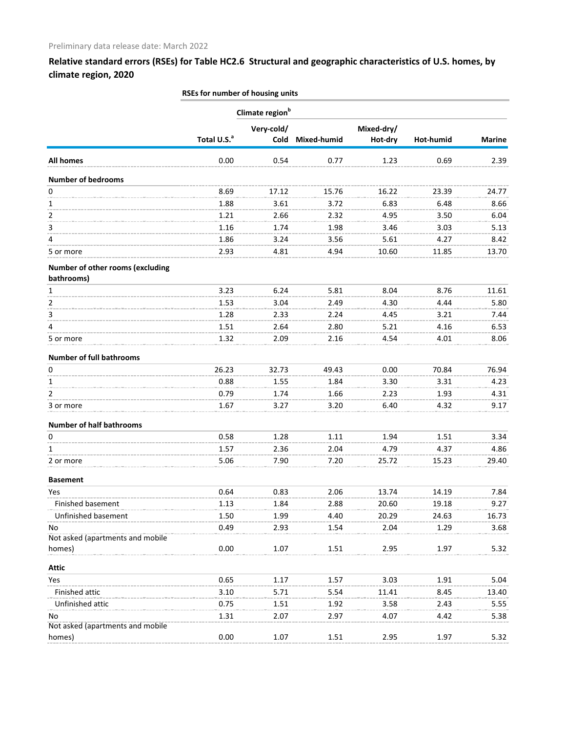|                                  | RSEs for number of housing units |                             |                    |            |           |               |  |  |
|----------------------------------|----------------------------------|-----------------------------|--------------------|------------|-----------|---------------|--|--|
|                                  |                                  | Climate region <sup>b</sup> |                    |            |           |               |  |  |
|                                  |                                  | Very-cold/                  |                    | Mixed-dry/ |           |               |  |  |
|                                  | Total U.S. <sup>a</sup>          | Cold                        | <b>Mixed-humid</b> | Hot-dry    | Hot-humid | <b>Marine</b> |  |  |
| <b>All homes</b>                 | 0.00                             | 0.54                        | 0.77               | 1.23       | 0.69      | 2.39          |  |  |
| <b>Number of bedrooms</b>        |                                  |                             |                    |            |           |               |  |  |
| 0                                | 8.69                             | 17.12                       | 15.76              | 16.22      | 23.39     | 24.77         |  |  |
| 1                                | 1.88                             | 3.61                        | 3.72               | 6.83       | 6.48      | 8.66          |  |  |
| $\overline{2}$                   | 1.21                             | 2.66                        | 2.32               | 4.95       | 3.50      | 6.04          |  |  |
| 3                                | 1.16                             | 1.74                        | 1.98               | 3.46       | 3.03      | 5.13          |  |  |
| 4                                | 1.86                             | 3.24                        | 3.56               | 5.61       | 4.27      | 8.42          |  |  |
| 5 or more                        | 2.93                             | 4.81                        | 4.94               | 10.60      | 11.85     | 13.70         |  |  |
| Number of other rooms (excluding |                                  |                             |                    |            |           |               |  |  |
| bathrooms)                       |                                  |                             |                    |            |           |               |  |  |
| $\mathbf{1}$                     | 3.23                             | 6.24                        | 5.81               | 8.04       | 8.76      | 11.61         |  |  |
| 2                                | 1.53                             | 3.04                        | 2.49               | 4.30       | 4.44      | 5.80          |  |  |
| 3                                | 1.28                             | 2.33                        | 2.24               | 4.45       | 3.21      | 7.44          |  |  |
| 4                                | 1.51                             | 2.64                        | 2.80               | 5.21       | 4.16      | 6.53          |  |  |
| 5 or more                        | 1.32                             | 2.09                        | 2.16               | 4.54       | 4.01      | 8.06          |  |  |
| <b>Number of full bathrooms</b>  |                                  |                             |                    |            |           |               |  |  |
| 0                                | 26.23                            | 32.73                       | 49.43              | 0.00       | 70.84     | 76.94         |  |  |
| 1                                | 0.88                             | 1.55                        | 1.84               | 3.30       | 3.31      | 4.23          |  |  |
| 2                                | 0.79                             | 1.74                        | 1.66               | 2.23       | 1.93      | 4.31          |  |  |
| 3 or more                        | 1.67                             | 3.27                        | 3.20               | 6.40       | 4.32      | 9.17          |  |  |
| <b>Number of half bathrooms</b>  |                                  |                             |                    |            |           |               |  |  |
| 0                                | 0.58                             | 1.28                        | 1.11               | 1.94       | 1.51      | 3.34          |  |  |
| 1                                | 1.57                             | 2.36                        | 2.04               | 4.79       | 4.37      | 4.86          |  |  |
| 2 or more                        | 5.06                             | 7.90                        | 7.20               | 25.72      | 15.23     | 29.40         |  |  |
| <b>Basement</b>                  |                                  |                             |                    |            |           |               |  |  |
| Yes                              | 0.64                             | 0.83                        | 2.06               | 13.74      | 14.19     | 7.84          |  |  |
| Finished basement                | 1.13                             | 1.84                        | 2.88               | 20.60      | 19.18     | 9.27          |  |  |
| Unfinished basement              | 1.50                             | 1.99                        | 4.40               | 20.29      | 24.63     | 16.73         |  |  |
| No                               | 0.49                             | 2.93                        | 1.54               | 2.04       | 1.29      | 3.68          |  |  |
| Not asked (apartments and mobile |                                  |                             |                    |            |           |               |  |  |
| homes)                           | 0.00                             | 1.07                        | 1.51               | 2.95       | 1.97      | 5.32          |  |  |
| <b>Attic</b>                     |                                  |                             |                    |            |           |               |  |  |
| Yes                              | 0.65                             | 1.17                        | 1.57               | 3.03       | 1.91      | 5.04          |  |  |
| Finished attic                   | 3.10                             | 5.71                        | 5.54               | 11.41      | 8.45      | 13.40         |  |  |
| Unfinished attic                 | 0.75                             | 1.51                        | 1.92               | 3.58       | 2.43      | 5.55          |  |  |
| No                               | 1.31                             | 2.07                        | 2.97               | 4.07       | 4.42      | 5.38          |  |  |
| Not asked (apartments and mobile |                                  |                             |                    |            |           |               |  |  |
| homes)                           | 0.00                             | 1.07                        | 1.51               | 2.95       | 1.97      | 5.32          |  |  |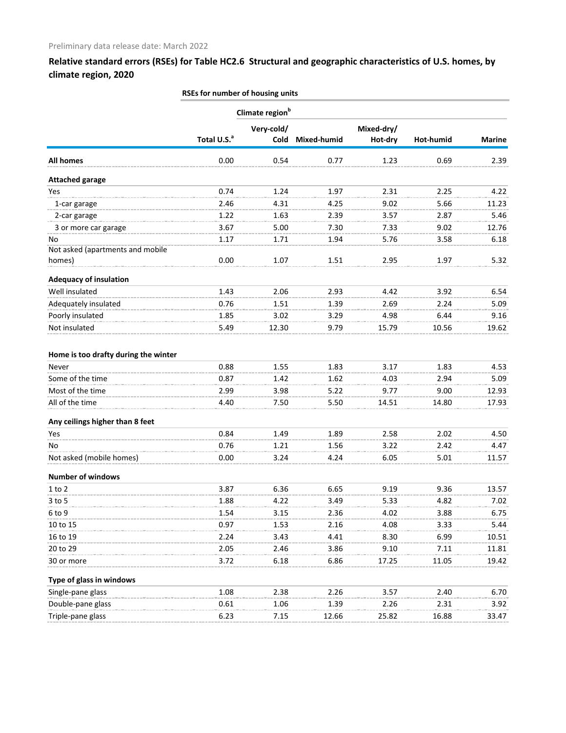|                                      | RSEs for number of housing units |                             |             |            |           |               |
|--------------------------------------|----------------------------------|-----------------------------|-------------|------------|-----------|---------------|
|                                      |                                  | Climate region <sup>b</sup> |             |            |           |               |
|                                      |                                  | Very-cold/                  |             | Mixed-dry/ |           |               |
|                                      | Total U.S. <sup>a</sup>          | Cold                        | Mixed-humid | Hot-dry    | Hot-humid | <b>Marine</b> |
| <b>All homes</b>                     | 0.00                             | 0.54                        | 0.77        | 1.23       | 0.69      | 2.39          |
| <b>Attached garage</b>               |                                  |                             |             |            |           |               |
| Yes                                  | 0.74                             | 1.24                        | 1.97        | 2.31       | 2.25      | 4.22          |
| 1-car garage                         | 2.46                             | 4.31                        | 4.25        | 9.02       | 5.66      | 11.23         |
| 2-car garage                         | 1.22                             | 1.63                        | 2.39        | 3.57       | 2.87      | 5.46          |
| 3 or more car garage                 | 3.67                             | 5.00                        | 7.30        | 7.33       | 9.02      | 12.76         |
| No                                   | 1.17                             | 1.71                        | 1.94        | 5.76       | 3.58      | 6.18          |
| Not asked (apartments and mobile     |                                  |                             |             |            |           |               |
| homes)                               | 0.00                             | 1.07                        | 1.51        | 2.95       | 1.97      | 5.32          |
| <b>Adequacy of insulation</b>        |                                  |                             |             |            |           |               |
| Well insulated                       | 1.43                             | 2.06                        | 2.93        | 4.42       | 3.92      | 6.54          |
| Adequately insulated                 | 0.76                             | 1.51                        | 1.39        | 2.69       | 2.24      | 5.09          |
| Poorly insulated                     | 1.85                             | 3.02                        | 3.29        | 4.98       | 6.44      | 9.16          |
| Not insulated                        | 5.49                             | 12.30                       | 9.79        | 15.79      | 10.56     | 19.62         |
| Home is too drafty during the winter |                                  |                             |             |            |           |               |
| Never                                | 0.88                             | 1.55                        | 1.83        | 3.17       | 1.83      | 4.53          |
| Some of the time                     | 0.87                             | 1.42                        | 1.62        | 4.03       | 2.94      | 5.09          |
| Most of the time                     | 2.99                             | 3.98                        | 5.22        | 9.77       | 9.00      | 12.93         |
| All of the time                      | 4.40                             | 7.50                        | 5.50        | 14.51      | 14.80     | 17.93         |
| Any ceilings higher than 8 feet      |                                  |                             |             |            |           |               |
| Yes                                  | 0.84                             | 1.49                        | 1.89        | 2.58       | 2.02      | 4.50          |
| No                                   | 0.76                             | 1.21                        | 1.56        | 3.22       | 2.42      | 4.47          |
| Not asked (mobile homes)             | 0.00                             | 3.24                        | 4.24        | 6.05       | 5.01      | 11.57         |
| <b>Number of windows</b>             |                                  |                             |             |            |           |               |
| $1$ to $2$                           | 3.87                             | 6.36                        | 6.65        | 9.19       | 9.36      | 13.57         |
| 3 to 5                               | 1.88                             | 4.22                        | 3.49        | 5.33       | 4.82      | 7.02          |
| 6 to 9                               | 1.54                             | 3.15                        | 2.36        | 4.02       | 3.88      | 6.75          |
| 10 to 15                             | 0.97                             | 1.53                        | 2.16        | 4.08       | 3.33      | 5.44          |
| 16 to 19                             | 2.24                             | 3.43                        | 4.41        | 8.30       | 6.99      | 10.51         |
| 20 to 29                             | 2.05                             | 2.46                        | 3.86        | 9.10       | 7.11      | 11.81         |
| 30 or more                           | 3.72                             | 6.18                        | 6.86        | 17.25      | 11.05     | 19.42         |
| Type of glass in windows             |                                  |                             |             |            |           |               |
| Single-pane glass                    | 1.08                             | 2.38                        | 2.26        | 3.57       | 2.40      | 6.70          |
| Double-pane glass                    | 0.61                             | 1.06                        | 1.39        | 2.26       | 2.31      | 3.92          |
| Triple-pane glass                    | 6.23                             | 7.15                        | 12.66       | 25.82      | 16.88     | 33.47         |
|                                      |                                  |                             |             |            |           |               |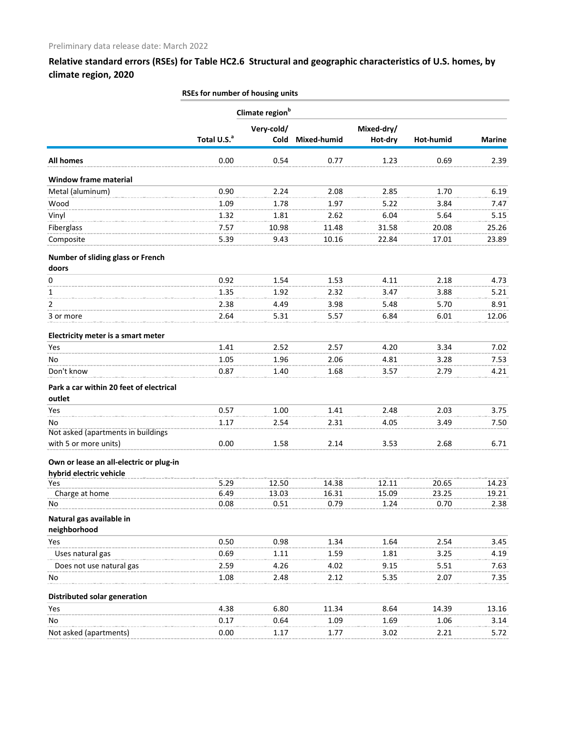|                                                                    | RSEs for number of housing units |                             |             |            |           |               |
|--------------------------------------------------------------------|----------------------------------|-----------------------------|-------------|------------|-----------|---------------|
|                                                                    |                                  | Climate region <sup>b</sup> |             |            |           |               |
|                                                                    |                                  | Very-cold/                  |             | Mixed-dry/ |           |               |
|                                                                    | Total U.S. <sup>a</sup>          | Cold                        | Mixed-humid | Hot-dry    | Hot-humid | <b>Marine</b> |
| <b>All homes</b>                                                   | 0.00                             | 0.54                        | 0.77        | 1.23       | 0.69      | 2.39          |
| <b>Window frame material</b>                                       |                                  |                             |             |            |           |               |
| Metal (aluminum)                                                   | 0.90                             | 2.24                        | 2.08        | 2.85       | 1.70      | 6.19          |
| Wood                                                               | 1.09                             | 1.78                        | 1.97        | 5.22       | 3.84      | 7.47          |
| Vinyl                                                              | 1.32                             | 1.81                        | 2.62        | 6.04       | 5.64      | 5.15          |
| Fiberglass                                                         | 7.57                             | 10.98                       | 11.48       | 31.58      | 20.08     | 25.26         |
| Composite                                                          | 5.39                             | 9.43                        | 10.16       | 22.84      | 17.01     | 23.89         |
| Number of sliding glass or French<br>doors                         |                                  |                             |             |            |           |               |
| 0                                                                  | 0.92                             | 1.54                        | 1.53        | 4.11       | 2.18      | 4.73          |
| 1                                                                  | 1.35                             | 1.92                        | 2.32        | 3.47       | 3.88      | 5.21          |
| 2                                                                  | 2.38                             | 4.49                        | 3.98        | 5.48       | 5.70      | 8.91          |
| 3 or more                                                          | 2.64                             | 5.31                        | 5.57        | 6.84       | 6.01      | 12.06         |
| Electricity meter is a smart meter                                 |                                  |                             |             |            |           |               |
| Yes                                                                | 1.41                             | 2.52                        | 2.57        | 4.20       | 3.34      | 7.02          |
| No                                                                 | 1.05                             | 1.96                        | 2.06        | 4.81       | 3.28      | 7.53          |
| Don't know                                                         | 0.87                             | 1.40                        | 1.68        | 3.57       | 2.79      | 4.21          |
| Park a car within 20 feet of electrical<br>outlet                  |                                  |                             |             |            |           |               |
| Yes                                                                | 0.57                             | 1.00                        | 1.41        | 2.48       | 2.03      | 3.75          |
| No                                                                 | 1.17                             | 2.54                        | 2.31        | 4.05       | 3.49      | 7.50          |
| Not asked (apartments in buildings                                 |                                  |                             |             |            |           |               |
| with 5 or more units)                                              | 0.00                             | 1.58                        | 2.14        | 3.53       | 2.68      | 6.71          |
| Own or lease an all-electric or plug-in<br>hybrid electric vehicle |                                  |                             |             |            |           |               |
| Yes                                                                | 5.29                             | 12.50                       | 14.38       | 12.11      | 20.65     | 14.23         |
| Charge at home                                                     | 6.49                             | 13.03                       | 16.31       | 15.09      | 23.25     | 19.21         |
| No                                                                 | 0.08                             | 0.51                        | 0.79        | 1.24       | 0.70      | 2.38          |
| Natural gas available in<br>neighborhood                           |                                  |                             |             |            |           |               |
| Yes                                                                | 0.50                             | 0.98                        | 1.34        | 1.64       | 2.54      | 3.45          |
| Uses natural gas                                                   | 0.69                             | 1.11                        | 1.59        | 1.81       | 3.25      | 4.19          |
| Does not use natural gas                                           | 2.59                             | 4.26                        | 4.02        | 9.15       | 5.51      | 7.63          |
| No                                                                 | 1.08                             | 2.48                        | 2.12        | 5.35       | 2.07      | 7.35          |
| Distributed solar generation                                       |                                  |                             |             |            |           |               |
| Yes                                                                | 4.38                             | 6.80                        | 11.34       | 8.64       | 14.39     | 13.16         |
| No                                                                 | 0.17                             | 0.64                        | 1.09        | 1.69       | 1.06      | 3.14          |
| Not asked (apartments)                                             | 0.00                             | 1.17                        | 1.77        | 3.02       | 2.21      | 5.72          |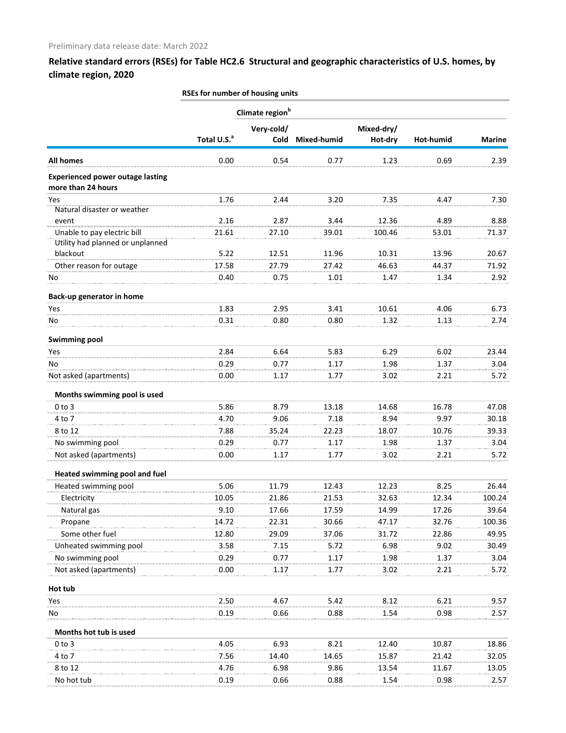|                                                                 | RSEs for number of housing units |                           |             |                       |           |               |  |  |  |
|-----------------------------------------------------------------|----------------------------------|---------------------------|-------------|-----------------------|-----------|---------------|--|--|--|
|                                                                 | Climate region <sup>b</sup>      |                           |             |                       |           |               |  |  |  |
|                                                                 | Total U.S. <sup>a</sup>          | Very-cold/<br><b>Cold</b> | Mixed-humid | Mixed-dry/<br>Hot-dry | Hot-humid | <b>Marine</b> |  |  |  |
| <b>All homes</b>                                                | 0.00                             | 0.54                      | 0.77        | 1.23                  | 0.69      | 2.39          |  |  |  |
| <b>Experienced power outage lasting</b><br>more than 24 hours   |                                  |                           |             |                       |           |               |  |  |  |
| Yes                                                             | 1.76                             | 2.44                      | 3.20        | 7.35                  | 4.47      | 7.30          |  |  |  |
| Natural disaster or weather                                     |                                  |                           |             |                       |           |               |  |  |  |
| event                                                           | 2.16                             | 2.87                      | 3.44        | 12.36                 | 4.89      | 8.88          |  |  |  |
| Unable to pay electric bill<br>Utility had planned or unplanned | 21.61                            | 27.10                     | 39.01       | 100.46                | 53.01     | 71.37         |  |  |  |
| blackout                                                        | 5.22                             | 12.51                     | 11.96       | 10.31                 | 13.96     | 20.67         |  |  |  |
| Other reason for outage                                         | 17.58                            | 27.79                     | 27.42       | 46.63                 | 44.37     | 71.92         |  |  |  |
| No                                                              | 0.40                             | 0.75                      | 1.01        | 1.47                  | 1.34      | 2.92          |  |  |  |
|                                                                 |                                  |                           |             |                       |           |               |  |  |  |
| Back-up generator in home                                       |                                  |                           |             |                       |           |               |  |  |  |
| Yes                                                             | 1.83                             | 2.95                      | 3.41        | 10.61                 | 4.06      | 6.73          |  |  |  |
| No                                                              | 0.31                             | 0.80                      | 0.80        | 1.32                  | 1.13      | 2.74          |  |  |  |
| <b>Swimming pool</b>                                            |                                  |                           |             |                       |           |               |  |  |  |
| Yes                                                             | 2.84                             | 6.64                      | 5.83        | 6.29                  | 6.02      | 23.44         |  |  |  |
| No                                                              | 0.29                             | 0.77                      | 1.17        | 1.98                  | 1.37      | 3.04          |  |  |  |
| Not asked (apartments)                                          | 0.00                             | 1.17                      | 1.77        | 3.02                  | 2.21      | 5.72          |  |  |  |
| Months swimming pool is used                                    |                                  |                           |             |                       |           |               |  |  |  |
| $0$ to $3$                                                      | 5.86                             | 8.79                      | 13.18       | 14.68                 | 16.78     | 47.08         |  |  |  |
| 4 to 7                                                          | 4.70                             | 9.06                      | 7.18        | 8.94                  | 9.97      | 30.18         |  |  |  |
| 8 to 12                                                         | 7.88                             | 35.24                     | 22.23       | 18.07                 | 10.76     | 39.33         |  |  |  |
| No swimming pool                                                | 0.29                             | 0.77                      | 1.17        | 1.98                  | 1.37      | 3.04          |  |  |  |
| Not asked (apartments)                                          | 0.00                             | 1.17                      | 1.77        | 3.02                  | 2.21      | 5.72          |  |  |  |
| Heated swimming pool and fuel                                   |                                  |                           |             |                       |           |               |  |  |  |
| Heated swimming pool                                            | 5.06                             | 11.79                     | 12.43       | 12.23                 | 8.25      | 26.44         |  |  |  |
| Electricity                                                     | 10.05                            | 21.86                     | 21.53       | 32.63                 | 12.34     | 100.24        |  |  |  |
| Natural gas                                                     | 9.10                             | 17.66                     | 17.59       | 14.99                 | 17.26     | 39.64         |  |  |  |
| Propane                                                         | 14.72                            | 22.31                     | 30.66       | 47.17                 | 32.76     | 100.36        |  |  |  |
| Some other fuel                                                 | 12.80                            | 29.09                     | 37.06       | 31.72                 | 22.86     | 49.95         |  |  |  |
| Unheated swimming pool                                          | 3.58                             | 7.15                      | 5.72        | 6.98                  | 9.02      | 30.49         |  |  |  |
| No swimming pool                                                | 0.29                             | 0.77                      | 1.17        | 1.98                  | 1.37      | 3.04          |  |  |  |
| Not asked (apartments)                                          | 0.00                             | 1.17                      | 1.77        | 3.02                  | 2.21      | 5.72          |  |  |  |
| Hot tub                                                         |                                  |                           |             |                       |           |               |  |  |  |
| Yes                                                             | 2.50                             | 4.67                      | 5.42        | 8.12                  | 6.21      | 9.57          |  |  |  |
| No                                                              | 0.19                             | 0.66                      | 0.88        | 1.54                  | 0.98      | 2.57          |  |  |  |
| Months hot tub is used                                          |                                  |                           |             |                       |           |               |  |  |  |
| $0$ to $3$                                                      | 4.05                             | 6.93                      | 8.21        | 12.40                 | 10.87     | 18.86         |  |  |  |
| 4 to 7                                                          | 7.56                             | 14.40                     | 14.65       | 15.87                 | 21.42     | 32.05         |  |  |  |
| 8 to 12                                                         | 4.76                             | 6.98                      | 9.86        | 13.54                 | 11.67     | 13.05         |  |  |  |
| No hot tub                                                      | 0.19                             | 0.66                      | 0.88        | 1.54                  | 0.98      | 2.57          |  |  |  |